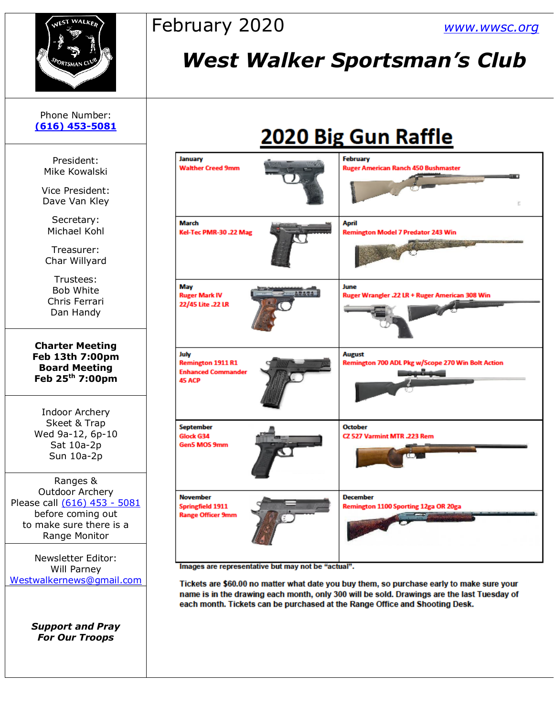

### February 2020 *[www.wwsc.org](http://www.wwsc.org/)*

## *West Walker Sportsman's Club*

## 2020 Big Gun Raffle

| January<br><b>Walther Creed 9mm</b>                                            | <b>February</b><br><b>Ruger American Ranch 450 Bushmaster</b><br>an a<br>Б       |
|--------------------------------------------------------------------------------|----------------------------------------------------------------------------------|
| March<br>Kel-Tec PMR-30.22 Mag                                                 | April<br><b>Remington Model 7 Predator 243 Win</b><br><b>CANODA CALIFORNIA S</b> |
| May<br><b>Ruger Mark IV</b><br>22/45 Lite .22 LR                               | June<br>Ruger Wrangler .22 LR + Ruger American 308 Win                           |
| July<br><b>Remington 1911 R1</b><br><b>Enhanced Commander</b><br><b>45 ACP</b> | <b>August</b><br>Remington 700 ADL Pkg w/Scope 270 Win Bolt Action               |
| <b>September</b><br>Glock G34<br>Gen5 MOS 9mm                                  | <b>October</b><br>CZ 527 Varmint MTR .223 Rem<br>œ                               |
| <b>November</b><br><b>Springfield 1911</b><br><b>Range Officer 9mm</b>         | <b>December</b><br>Remington 1100 Sporting 12ga OR 20ga                          |

Images are representative but may not be "actual".

Tickets are \$60.00 no matter what date you buy them, so purchase early to make sure your name is in the drawing each month, only 300 will be sold. Drawings are the last Tuesday of each month. Tickets can be purchased at the Range Office and Shooting Desk.

Phone Number: **[\(616\) 453-5081](https://d.docs.live.net/100b2af0d7ad2324/Documents/wwsc%20newsletters%202019/docx/616)%20453-5081)**

> President: Mike Kowalski

Vice President: Dave Van Kley

Secretary: Michael Kohl

Treasurer: Char Willyard

Trustees: Bob White Chris Ferrari Dan Handy

**Charter Meeting Feb 13th 7:00pm Board Meeting Feb 25 th 7:00pm**

Indoor Archery Skeet & Trap Wed 9a-12, 6p-10 Sat 10a-2p Sun 10a-2p

Ranges & Outdoor Archery Please call [\(616\) 453 -](https://d.docs.live.net/100b2af0d7ad2324/Documents/wwsc%20newsletters%202019/docx/616)%20453-5081) 5081 before coming out to make sure there is a Range Monitor

Newsletter Editor: Will Parney [Westwalkernews@gmail.com](mailto:Westwalkernews@gmail.com)

> *Support and Pray For Our Troops*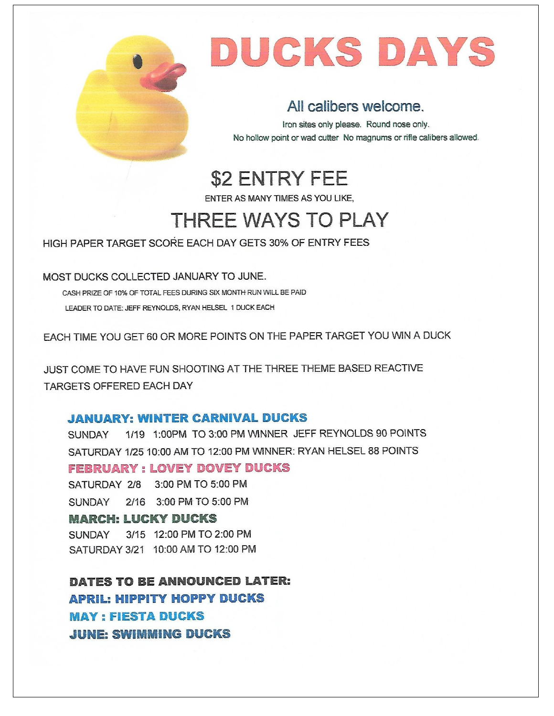

# DUCKS DAYS

#### All calibers welcome.

Iron sites only please. Round nose only. No hollow point or wad cutter No magnums or rifle calibers allowed.

**\$2 ENTRY FEE** 

ENTER AS MANY TIMES AS YOU LIKE.

## **THREE WAYS TO PLAY**

HIGH PAPER TARGET SCORE EACH DAY GETS 30% OF ENTRY FEES

MOST DUCKS COLLECTED JANUARY TO JUNE.

CASH PRIZE OF 10% OF TOTAL FEES DURING SIX MONTH RUN WILL BE PAID LEADER TO DATE: JEFF REYNOLDS, RYAN HELSEL 1 DUCK EACH

EACH TIME YOU GET 60 OR MORE POINTS ON THE PAPER TARGET YOU WIN A DUCK

JUST COME TO HAVE FUN SHOOTING AT THE THREE THEME BASED REACTIVE **TARGETS OFFERED EACH DAY** 

#### **JANUARY: WINTER CARNIVAL DUCKS**

SUNDAY 1/19 1:00PM TO 3:00 PM WINNER JEFF REYNOLDS 90 POINTS SATURDAY 1/25 10:00 AM TO 12:00 PM WINNER: RYAN HELSEL 88 POINTS **FEBRUARY: LOVEY DOVEY DUCKS** SATURDAY 2/8 3:00 PM TO 5:00 PM SUNDAY 2/16 3:00 PM TO 5:00 PM **MARCH: LUCKY DUCKS** SUNDAY 3/15 12:00 PM TO 2:00 PM SATURDAY 3/21 10:00 AM TO 12:00 PM

DATES TO BE ANNOUNCED LATER: **APRIL: HIPPITY HOPPY DUCKS MAY: FIESTA DUCKS JUNE: SWIMMING DUCKS**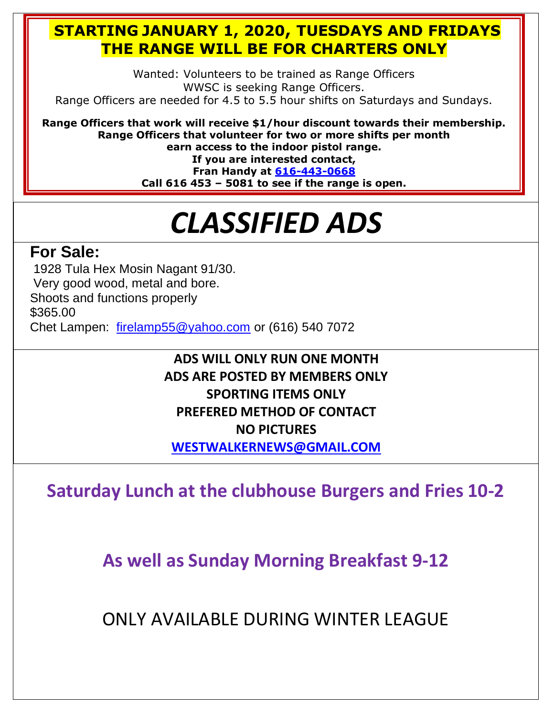#### **STARTING JANUARY 1, 2020, TUESDAYS AND FRIDAYS THE RANGE WILL BE FOR CHARTERS ONLY**

Wanted: Volunteers to be trained as Range Officers WWSC is seeking Range Officers. Range Officers are needed for 4.5 to 5.5 hour shifts on Saturdays and Sundays.

**Range Officers that work will receive \$1/hour discount towards their membership. Range Officers that volunteer for two or more shifts per month earn access to the indoor pistol range. If you are interested contact, Fran Handy at [616-443-0668](https://d.docs.live.net/100b2af0d7ad2324/Documents/wwsc%20newsletters%202019/docx/616-443-0668) Call 616 453 – 5081 to see if the range is open.**

## *CLASSIFIED ADS*

#### **For Sale:**

1928 Tula Hex Mosin Nagant 91/30.

Very good wood, metal and bore.

Shoots and functions properly

\$365.00

Chet Lampen: [firelamp55@yahoo.com](mailto:firelamp55@yahoo.com) or (616) 540 7072

#### **ADS WILL ONLY RUN ONE MONTH ADS ARE POSTED BY MEMBERS ONLY SPORTING ITEMS ONLY PREFERED METHOD OF CONTACT NO PICTURES [WESTWALKERNEWS@GMAIL.COM](mailto:WESTWALKERNEWS@GMAIL.COM)**

**Saturday Lunch at the clubhouse Burgers and Fries 10-2**

**As well as Sunday Morning Breakfast 9-12**

ONLY AVAILABLE DURING WINTER LEAGUE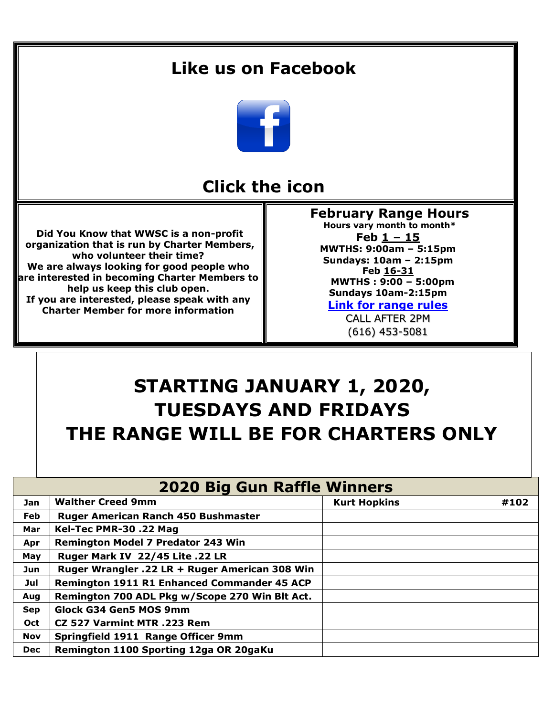#### **Like us on Facebook**



#### **Click the icon**

**Did You Know that WWSC is a non-profit organization that is run by Charter Members, who volunteer their time? We are always looking for good people who are interested in becoming Charter Members to help us keep this club open. If you are interested, please speak with any Charter Member for more information**

**February Range Hours Hours vary month to month\* Feb 1 – 15 MWTHS: 9:00am – 5:15pm Sundays: 10am – 2:15pm Feb 16-31 MWTHS : 9:00 – 5:00pm Sundays 10am-2:15pm**

**[Link for range rules](http://www.wwsc.org/img/ranges/RangeRules.pdf)**

CALL AFTER 2PM (616) 453-5081

## **STARTING JANUARY 1, 2020, TUESDAYS AND FRIDAYS THE RANGE WILL BE FOR CHARTERS ONLY**

| <b>2020 Big Gun Raffle Winners</b> |                                                |                     |      |  |  |  |  |
|------------------------------------|------------------------------------------------|---------------------|------|--|--|--|--|
| Jan                                | <b>Walther Creed 9mm</b>                       | <b>Kurt Hopkins</b> | #102 |  |  |  |  |
| Feb                                | <b>Ruger American Ranch 450 Bushmaster</b>     |                     |      |  |  |  |  |
| Mar                                | Kel-Tec PMR-30 .22 Mag                         |                     |      |  |  |  |  |
| Apr                                | <b>Remington Model 7 Predator 243 Win</b>      |                     |      |  |  |  |  |
| May                                | Ruger Mark IV 22/45 Lite .22 LR                |                     |      |  |  |  |  |
| Jun                                | Ruger Wrangler .22 LR + Ruger American 308 Win |                     |      |  |  |  |  |
| Jul                                | Remington 1911 R1 Enhanced Commander 45 ACP    |                     |      |  |  |  |  |
| Aug                                | Remington 700 ADL Pkg w/Scope 270 Win Blt Act. |                     |      |  |  |  |  |
| <b>Sep</b>                         | Glock G34 Gen5 MOS 9mm                         |                     |      |  |  |  |  |
| Oct                                | CZ 527 Varmint MTR .223 Rem                    |                     |      |  |  |  |  |
| <b>Nov</b>                         | Springfield 1911 Range Officer 9mm             |                     |      |  |  |  |  |
| <b>Dec</b>                         | Remington 1100 Sporting 12ga OR 20gaKu         |                     |      |  |  |  |  |
|                                    |                                                |                     |      |  |  |  |  |